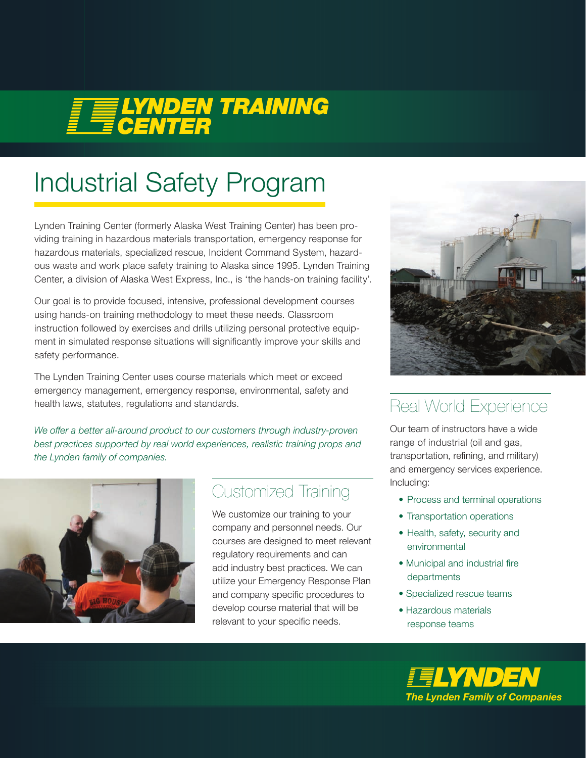# **FELYNDEN TRAINING**

## Industrial Safety Program

Lynden Training Center (formerly Alaska West Training Center) has been providing training in hazardous materials transportation, emergency response for hazardous materials, specialized rescue, Incident Command System, hazardous waste and work place safety training to Alaska since 1995. Lynden Training Center, a division of Alaska West Express, Inc., is 'the hands-on training facility'.

Our goal is to provide focused, intensive, professional development courses using hands-on training methodology to meet these needs. Classroom instruction followed by exercises and drills utilizing personal protective equipment in simulated response situations will significantly improve your skills and safety performance.

The Lynden Training Center uses course materials which meet or exceed emergency management, emergency response, environmental, safety and health laws, statutes, regulations and standards.

We offer a better all-around product to our customers through industry-proven *best practices supported by real world experiences, realistic training props and the Lynden family of companies.*



## Customized Training

We customize our training to your company and personnel needs. Our courses are designed to meet relevant regulatory requirements and can add industry best practices. We can utilize your Emergency Response Plan and company specific procedures to develop course material that will be relevant to your specific needs.



## Real World Experience

Our team of instructors have a wide range of industrial (oil and gas, transportation, refining, and military) and emergency services experience. Including:

- Process and terminal operations
- Transportation operations
- Health, safety, security and environmental
- Municipal and industrial fire departments
- Specialized rescue teams
- Hazardous materials response teams